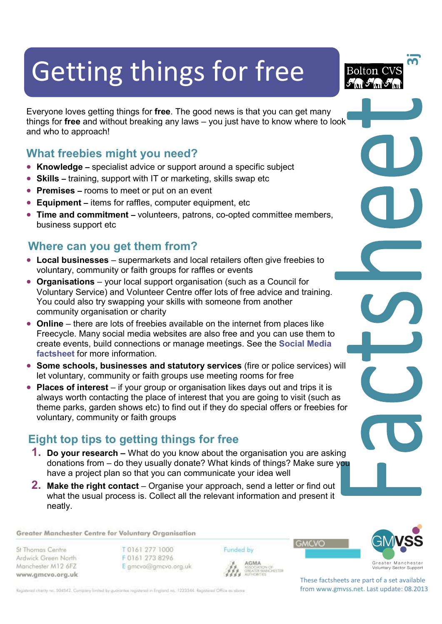# Getting things for free

Everyone loves getting things for **free**. The good news is that you can get many things for **free** and without breaking any laws – you just have to know where to look and who to approach!

## **What freebies might you need?**

- **Knowledge** specialist advice or support around a specific subject
- **Skills** training, support with IT or marketing, skills swap etc
- **Premises** rooms to meet or put on an event
- **Equipment –** items for raffles, computer equipment, etc
- **Time and commitment** volunteers, patrons, co-opted committee members, business support etc

# **Where can you get them from?**

- **Local businesses** supermarkets and local retailers often give freebies to voluntary, community or faith groups for raffles or events
- **Organisations** your local support organisation (such as a Council for Voluntary Service) and Volunteer Centre offer lots of free advice and training. You could also try swapping your skills with someone from another community organisation or charity
- **Online** there are lots of freebies available on the internet from places like Freecycle. Many social media websites are also free and you can use them to create events, build connections or manage meetings. See the **Social Media factsheet** for more information.
- **Some schools, businesses and statutory services** (fire or police services) will let voluntary, community or faith groups use meeting rooms for free
- **Places of interest** if your group or organisation likes days out and trips it is always worth contacting the place of interest that you are going to visit (such as theme parks, garden shows etc) to find out if they do special offers or freebies for voluntary, community or faith groups

# **Eight top tips to getting things for free**

- **1. Do your research** What do you know about the organisation you are asking donations from – do they usually donate? What kinds of things? Make sure you have a project plan so that you can communicate your idea well
- **2. Make the right contact**  Organise your approach, send a letter or find out what the usual process is. Collect all the relevant information and present it neatly.

#### Greater Manchester Centre for Voluntary Organisation

St Thomas Centre Ardwick Green North Manchester M12 6FZ www.gmcvo.org.uk T0161 277 1000 F0161 273 8296 E gmcvo@gmcvo.org.uk Funded by

AGMA

ASSUSANTUM OF<br>GREATER MANCHESTER<br>AUTHORITIES





**თ** 

**Bolton CVS** 

These factsheets are part of a set available from www.gmvss.net. Last update: 08.2013

Registered charity no. 504542. Company limited by guarantee registered in England no. 1223344. Registered Office as obove